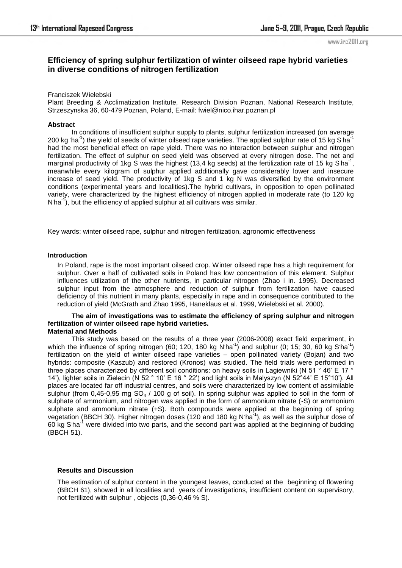#### www.irc2011.org

# **Efficiency of spring sulphur fertilization of winter oilseed rape hybrid varieties in diverse conditions of nitrogen fertilization**

### Franciszek Wielebski

Plant Breeding & Acclimatization Institute, Research Division Poznan, National Research Institute, Strzeszynska 36, 60-479 Poznan, Poland, E-mail: fwiel@nico.ihar.poznan.pl

### **Abstract**

In conditions of insufficient sulphur supply to plants, sulphur fertilization increased (on average 200 kg  $ha^{-1}$ ) the yield of seeds of winter oilseed rape varieties. The applied sulphur rate of 15 kg S ha<sup>-1</sup> had the most beneficial effect on rape yield. There was no interaction between sulphur and nitrogen fertilization. The effect of sulphur on seed yield was observed at every nitrogen dose. The net and marginal productivity of 1kg S was the highest (13,4 kg seeds) at the fertilization rate of 15 kg S ha<sup>-1</sup>, meanwhile every kilogram of sulphur applied additionally gave considerably lower and insecure increase of seed yield. The productivity of 1kg S and 1 kg N was diversified by the environment conditions (experimental years and localities).The hybrid cultivars, in opposition to open pollinated variety, were characterized by the highest efficiency of nitrogen applied in moderate rate (to 120 kg N ha<sup>-1</sup>), but the efficiency of applied sulphur at all cultivars was similar.

Key wards: winter oilseed rape, sulphur and nitrogen fertilization, agronomic effectiveness

### **Introduction**

In Poland, rape is the most important oilseed crop. Winter oilseed rape has a high requirement for sulphur. Over a half of cultivated soils in Poland has low concentration of this element. Sulphur influences utilization of the other nutrients, in particular nitrogen (Zhao i in. 1995). Decreased sulphur input from the atmosphere and reduction of sulphur from fertilization have caused deficiency of this nutrient in many plants, especially in rape and in consequence contributed to the reduction of yield (McGrath and Zhao 1995, Haneklaus et al. 1999, Wielebski et al. 2000).

#### **The aim of investigations was to estimate the efficiency of spring sulphur and nitrogen fertilization of winter oilseed rape hybrid varieties. Material and Methods**

This study was based on the results of a three year (2006-2008) exact field experiment, in which the influence of spring nitrogen (60; 120, 180 kg N ha<sup>-1</sup>) and sulphur (0; 15; 30, 60 kg S ha<sup>-1</sup>) fertilization on the yield of winter oilseed rape varieties – open pollinated variety (Bojan) and two hybrids: composite (Kaszub) and restored (Kronos) was studied. The field trials were performed in three places characterized by different soil conditions: on heavy soils in Lagiewniki (N 51 ° 46' E 17 ° 14'), lighter soils in Zielecin (N 52 ° 10' E 16 ° 22') and light soils in Malyszyn (N 52°44' E 15°10'). All places are located far off industrial centres, and soils were characterized by low content of assimilable sulphur (from 0,45-0,95 mg  $SO_4$  / 100 g of soil). In spring sulphur was applied to soil in the form of sulphate of ammonium, and nitrogen was applied in the form of ammonium nitrate (-S) or ammonium sulphate and ammonium nitrate (+S). Both compounds were applied at the beginning of spring vegetation (BBCH 30). Higher nitrogen doses (120 and 180 kg N ha<sup>-1</sup>), as well as the sulphur dose of 60 kg S ha<sup>-1</sup> were divided into two parts, and the second part was applied at the beginning of budding (BBCH 51).

### **Results and Discussion**

The estimation of sulphur content in the youngest leaves, conducted at the beginning of flowering (BBCH 61), showed in all localities and years of investigations, insufficient content on supervisory, not fertilized with sulphur , objects (0,36-0,46 % S).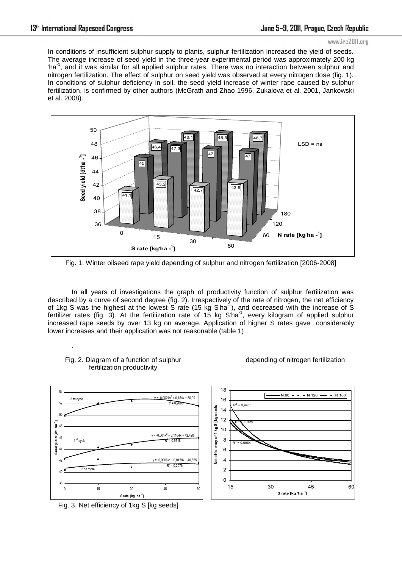#### www.irc2011.org

In conditions of insufficient sulphur supply to plants, sulphur fertilization increased the yield of seeds. The average increase of seed yield in the three-year experimental period was approximately 200 kg ha<sup>-1</sup>, and it was similar for all applied sulphur rates. There was no interaction between sulphur and nitrogen fertilization. The effect of sulphur on seed yield was observed at every nitrogen dose (fig. 1). In conditions of sulphur deficiency in soil, the seed yield increase of winter rape caused by sulphur fertilization, is confirmed by other authors (McGrath and Zhao 1996, Zukalova et al. 2001, Jankowski et al. 2008).



Fig. 1. Winter oilseed rape yield depending of sulphur and nitrogen fertilization [2006-2008]

In all years of investigations the graph of productivity function of sulphur fertilization was described by a curve of second degree (fig. 2). Irrespectively of the rate of nitrogen, the net efficiency of 1kg S was the highest at the lowest  $\overline{S}$  rate (15 kg S ha<sup>-1</sup>), and decreased with the increase of  $\overline{S}$ fertilizer rates (fig. 3). At the fertilization rate of 15 kg  $S$  ha<sup>-1</sup>, every kilogram of applied sulphur increased rape seeds by over 13 kg on average. Application of higher S rates gave considerably lower increases and their application was not reasonable (table 1)



### Fig. 2. Diagram of a function of sulphur fertilization productivity

.

depending of nitrogen fertilization

Fig. 3. Net efficiency of 1kg S [kg seeds]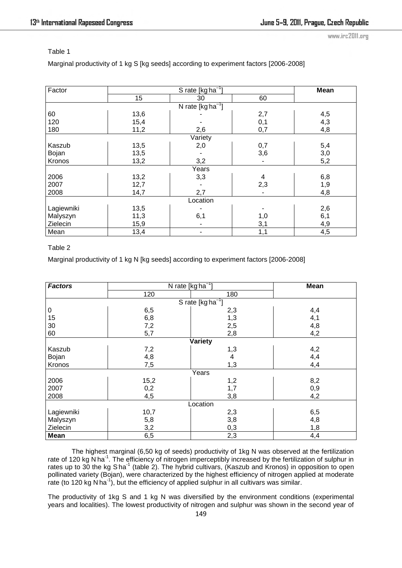www.irc2011.org

## Table 1

Marginal productivity of 1 kg S [kg seeds] according to experiment factors [2006-2008]

| Factor               | S rate $\sqrt{[kg\,ha^{-1}]}$ |     |     | <b>Mean</b> |  |  |
|----------------------|-------------------------------|-----|-----|-------------|--|--|
|                      | 15                            | 30  | 60  |             |  |  |
| N rate $[kgha^{-1}]$ |                               |     |     |             |  |  |
| 60                   | 13,6                          |     | 2,7 | 4,5         |  |  |
| 120                  | 15,4                          |     | 0,1 | 4,3         |  |  |
| 180                  | 11,2                          | 2,6 | 0,7 | 4,8         |  |  |
| Variety              |                               |     |     |             |  |  |
| Kaszub               | 13,5                          | 2,0 | 0,7 | 5,4         |  |  |
| Bojan                | 13,5                          |     | 3,6 | 3,0         |  |  |
| Kronos               | 13,2                          | 3,2 | ÷,  | 5,2         |  |  |
| Years                |                               |     |     |             |  |  |
| 2006                 | 13,2                          | 3,3 | 4   | 6,8         |  |  |
| 2007                 | 12,7                          |     | 2,3 | 1,9         |  |  |
| 2008                 | 14,7                          | 2,7 |     | 4,8         |  |  |
| Location             |                               |     |     |             |  |  |
| Lagiewniki           | 13,5                          |     |     | 2,6         |  |  |
| Malyszyn             | 11,3                          | 6,1 | 1,0 | 6,1         |  |  |
| Zielecin             | 15,9                          |     | 3,1 | 4,9         |  |  |
| Mean                 | 13,4                          | ۰   | 1,1 | 4,5         |  |  |

# Table 2

Marginal productivity of 1 kg N [kg seeds] according to experiment factors [2006-2008]

| <b>Factors</b>          | N rate [kg ha <sup>-1</sup> ] |     | Mean |  |  |
|-------------------------|-------------------------------|-----|------|--|--|
|                         | 120                           | 180 |      |  |  |
| S rate [ $kg ha^{-1}$ ] |                               |     |      |  |  |
| $\pmb{0}$               | 6,5                           | 2,3 | 4,4  |  |  |
| 15                      | 6,8                           | 1,3 | 4,1  |  |  |
| 30                      | 7,2                           | 2,5 | 4,8  |  |  |
| 60                      | 5,7                           | 2,8 | 4,2  |  |  |
| Variety                 |                               |     |      |  |  |
| Kaszub                  | 7,2                           | 1,3 | 4,2  |  |  |
| Bojan                   | 4,8                           | 4   | 4,4  |  |  |
| Kronos                  | 7,5                           | 1,3 | 4,4  |  |  |
| Years                   |                               |     |      |  |  |
| 2006                    | 15,2                          | 1,2 | 8,2  |  |  |
| 2007                    | 0,2                           | 1,7 | 0,9  |  |  |
| 2008                    | 4,5                           | 3,8 | 4,2  |  |  |
| Location                |                               |     |      |  |  |
| Lagiewniki              | 10,7                          | 2,3 | 6,5  |  |  |
| Malyszyn                | 5,8                           | 3,8 | 4,8  |  |  |
| Zielecin                | 3,2                           | 0,3 | 1,8  |  |  |
| <b>Mean</b>             | 6,5                           | 2,3 | 4,4  |  |  |

The highest marginal (6,50 kg of seeds) productivity of 1kg N was observed at the fertilization rate of 120 kg N ha<sup>-1</sup>. The efficiency of nitrogen imperceptibly increased by the fertilization of sulphur in rates up to 30 the kg S ha<sup>-1</sup> (table 2). The hybrid cultivars, (Kaszub and Kronos) in opposition to open pollinated variety (Bojan), were characterized by the highest efficiency of nitrogen applied at moderate rate (to 120 kg N ha<sup>-1</sup>), but the efficiency of applied sulphur in all cultivars was similar.

The productivity of 1kg S and 1 kg N was diversified by the environment conditions (experimental years and localities). The lowest productivity of nitrogen and sulphur was shown in the second year of